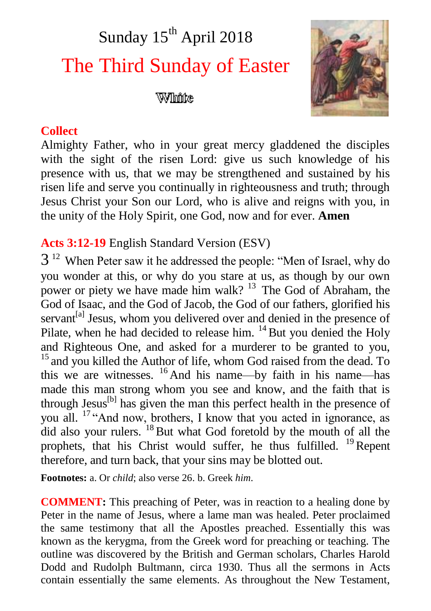# Sunday 15<sup>th</sup> April 2018 The Third Sunday of Easter

## William



## **Collect**

Almighty Father, who in your great mercy gladdened the disciples with the sight of the risen Lord: give us such knowledge of his presence with us, that we may be strengthened and sustained by his risen life and serve you continually in righteousness and truth; through Jesus Christ your Son our Lord, who is alive and reigns with you, in the unity of the Holy Spirit, one God, now and for ever. **Amen**

## **Acts 3:12-19** English Standard Version (ESV)

 $3<sup>12</sup>$  When Peter saw it he addressed the people: "Men of Israel, why do you wonder at this, or why do you stare at us, as though by our own power or piety we have made him walk?  $13$  The God of Abraham, the God of Isaac, and the God of Jacob, the God of our fathers, glorified his servant<sup>[a]</sup> Jesus, whom you delivered over and denied in the presence of Pilate, when he had decided to release him.  $^{14}$  But you denied the Holy and Righteous One, and asked for a murderer to be granted to you,  $15$  and you killed the Author of life, whom God raised from the dead. To this we are witnesses. <sup>16</sup> And his name—by faith in his name—has made this man strong whom you see and know, and the faith that is through Jesus<sup>[b]</sup> has given the man this perfect health in the presence of you all. <sup>17</sup> "And now, brothers, I know that you acted in ignorance, as  $\frac{d}{dt}$  did also your rulers.  $^{18}$  But what God foretold by the mouth of all the prophets, that his Christ would suffer, he thus fulfilled.  $^{19}$ Repent therefore, and turn back, that your sins may be blotted out.

**Footnotes:** a. Or *child*; also verse 26. b. Greek *him*.

**COMMENT:** This preaching of Peter, was in reaction to a healing done by Peter in the name of Jesus, where a lame man was healed. Peter proclaimed the same testimony that all the Apostles preached. Essentially this was known as the kerygma, from the Greek word for preaching or teaching. The outline was discovered by the British and German scholars, Charles Harold Dodd and Rudolph Bultmann, circa 1930. Thus all the sermons in Acts contain essentially the same elements. As throughout the New Testament,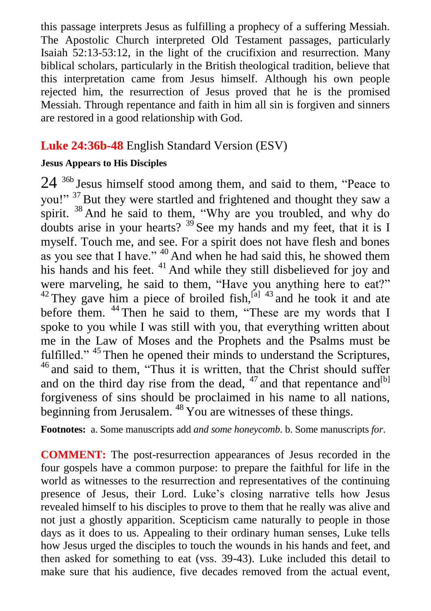this passage interprets Jesus as fulfilling a prophecy of a suffering Messiah. The Apostolic Church interpreted Old Testament passages, particularly Isaiah 52:13-53:12, in the light of the crucifixion and resurrection. Many biblical scholars, particularly in the British theological tradition, believe that this interpretation came from Jesus himself. Although his own people rejected him, the resurrection of Jesus proved that he is the promised Messiah. Through repentance and faith in him all sin is forgiven and sinners are restored in a good relationship with God.

## **Luke 24:36b-48** English Standard Version (ESV)

#### **Jesus Appears to His Disciples**

 $24$   $36b$  Jesus himself stood among them, and said to them, "Peace to you!" <sup>37</sup> But they were startled and frightened and thought they saw a spirit. <sup>38</sup> And he said to them, "Why are you troubled, and why do doubts arise in your hearts?  $39\overline{)}$  See my hands and my feet, that it is I myself. Touch me, and see. For a spirit does not have flesh and bones as you see that I have." <sup>40</sup> And when he had said this, he showed them his hands and his feet.  $41$  And while they still disbelieved for joy and were marveling, he said to them, "Have you anything here to eat?"  $42$  They gave him a piece of broiled fish,  $^{[a]}$   $43$  and he took it and ate before them. <sup>44</sup> Then he said to them, "These are my words that I spoke to you while I was still with you, that everything written about me in the Law of Moses and the Prophets and the Psalms must be fulfilled." <sup>45</sup> Then he opened their minds to understand the Scriptures, <sup>46</sup> and said to them, "Thus it is written, that the Christ should suffer and on the third day rise from the dead,  $47$  and that repentance and  $[1]$ forgiveness of sins should be proclaimed in his name to all nations, beginning from Jerusalem.  $^{48}$  You are witnesses of these things.

**Footnotes:** a. Some manuscripts add *and some honeycomb*. b. Some manuscripts *for*.

**COMMENT:** The post-resurrection appearances of Jesus recorded in the four gospels have a common purpose: to prepare the faithful for life in the world as witnesses to the resurrection and representatives of the continuing presence of Jesus, their Lord. Luke's closing narrative tells how Jesus revealed himself to his disciples to prove to them that he really was alive and not just a ghostly apparition. Scepticism came naturally to people in those days as it does to us. Appealing to their ordinary human senses, Luke tells how Jesus urged the disciples to touch the wounds in his hands and feet, and then asked for something to eat (vss. 39-43). Luke included this detail to make sure that his audience, five decades removed from the actual event,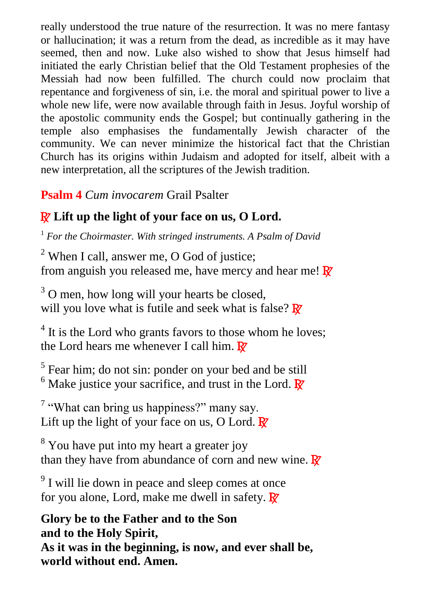really understood the true nature of the resurrection. It was no mere fantasy or hallucination; it was a return from the dead, as incredible as it may have seemed, then and now. Luke also wished to show that Jesus himself had initiated the early Christian belief that the Old Testament prophesies of the Messiah had now been fulfilled. The church could now proclaim that repentance and forgiveness of sin, i.e. the moral and spiritual power to live a whole new life, were now available through faith in Jesus. Joyful worship of the apostolic community ends the Gospel; but continually gathering in the temple also emphasises the fundamentally Jewish character of the community. We can never minimize the historical fact that the Christian Church has its origins within Judaism and adopted for itself, albeit with a new interpretation, all the scriptures of the Jewish tradition.

**Psalm 4** *Cum invocarem* Grail Psalter

## R **Lift up the light of your face on us, O Lord.**

<sup>1</sup> *For the Choirmaster. With stringed instruments. A Psalm of David*

 $2$  When I call, answer me, O God of justice: from anguish you released me, have mercy and hear me!  $\mathbb{R}^7$ 

<sup>3</sup> O men, how long will your hearts be closed, will you love what is futile and seek what is false?  $\mathbb{R}^7$ 

<sup>4</sup> It is the Lord who grants favors to those whom he loves; the Lord hears me whenever I call him.  $\mathbb{R}^7$ 

<sup>5</sup> Fear him; do not sin: ponder on your bed and be still  $6$  Make justice your sacrifice, and trust in the Lord.  $\mathbb{R}^7$ 

 $7$  "What can bring us happiness?" many say. Lift up the light of your face on us, O Lord.  $\mathbb{R}^7$ 

<sup>8</sup> You have put into my heart a greater joy than they have from abundance of corn and new wine.  $\mathbb{R}^7$ 

<sup>9</sup> I will lie down in peace and sleep comes at once for you alone, Lord, make me dwell in safety.  $\mathbb{R}^7$ 

**Glory be to the Father and to the Son and to the Holy Spirit, As it was in the beginning, is now, and ever shall be, world without end. Amen.**